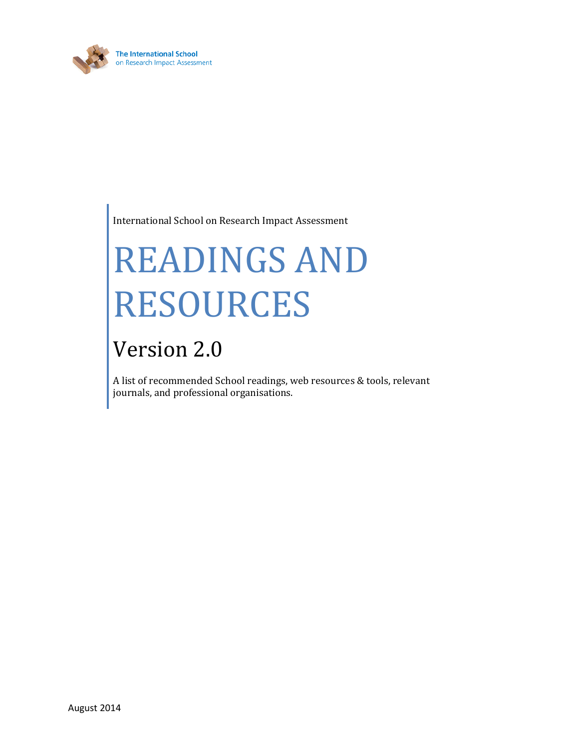

International School on Research Impact Assessment

# READINGS AND RESOURCES

## Version 2.0

A list of recommended School readings, web resources & tools, relevant journals, and professional organisations.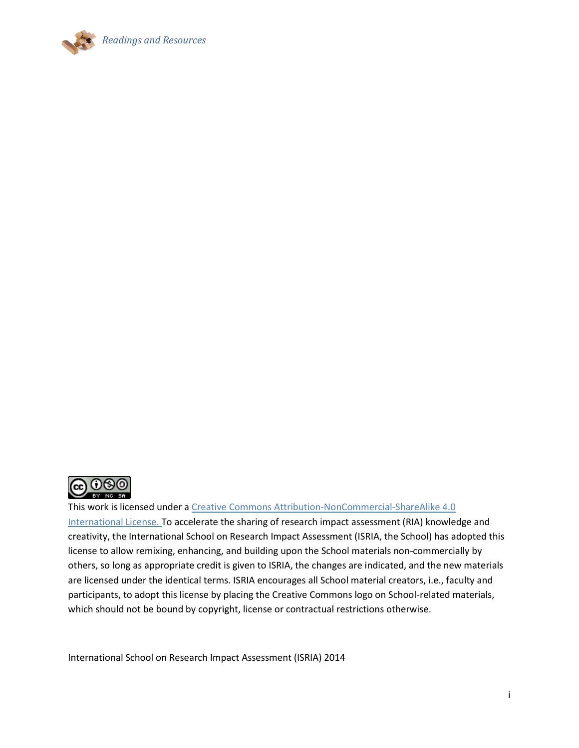



This work is licensed under a [Creative Commons Attribution-NonCommercial-ShareAlike 4.0](http://creativecommons.org/licenses/by-nc-sa/4.0/)  [International License.](http://creativecommons.org/licenses/by-nc-sa/4.0/) To accelerate the sharing of research impact assessment (RIA) knowledge and creativity, the International School on Research Impact Assessment (ISRIA, the School) has adopted this license to allow remixing, enhancing, and building upon the School materials non-commercially by others, so long as appropriate credit is given to ISRIA, the changes are indicated, and the new materials are licensed under the identical terms. ISRIA encourages all School material creators, i.e., faculty and participants, to adopt this license by placing the Creative Commons logo on School-related materials, which should not be bound by copyright, license or contractual restrictions otherwise.

International School on Research Impact Assessment (ISRIA) 2014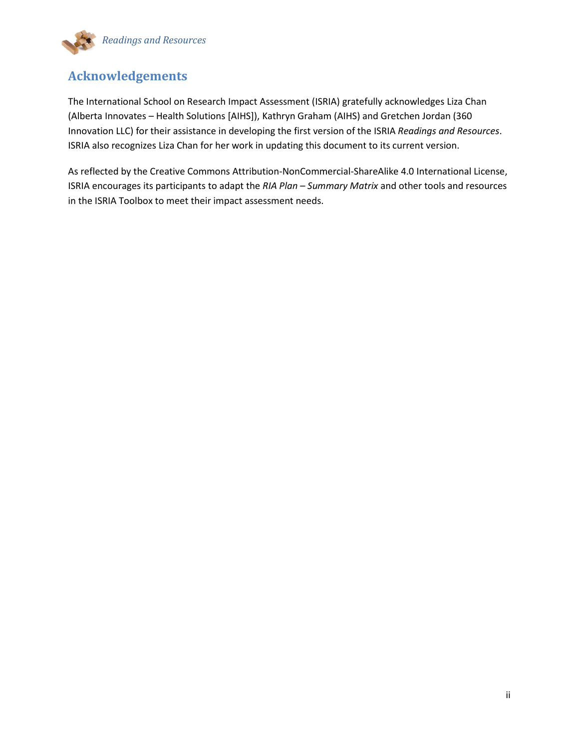

#### **Acknowledgements**

The International School on Research Impact Assessment (ISRIA) gratefully acknowledges Liza Chan (Alberta Innovates – Health Solutions [AIHS]), Kathryn Graham (AIHS) and Gretchen Jordan (360 Innovation LLC) for their assistance in developing the first version of the ISRIA *Readings and Resources*. ISRIA also recognizes Liza Chan for her work in updating this document to its current version.

As reflected by the Creative Commons Attribution-NonCommercial-ShareAlike 4.0 International License, ISRIA encourages its participants to adapt the *RIA Plan – Summary Matrix* and other tools and resources in the ISRIA Toolbox to meet their impact assessment needs.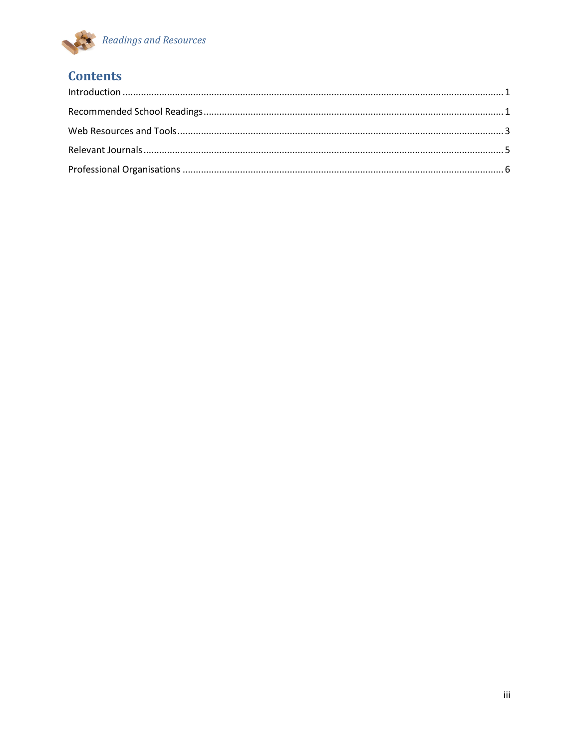

### **Contents**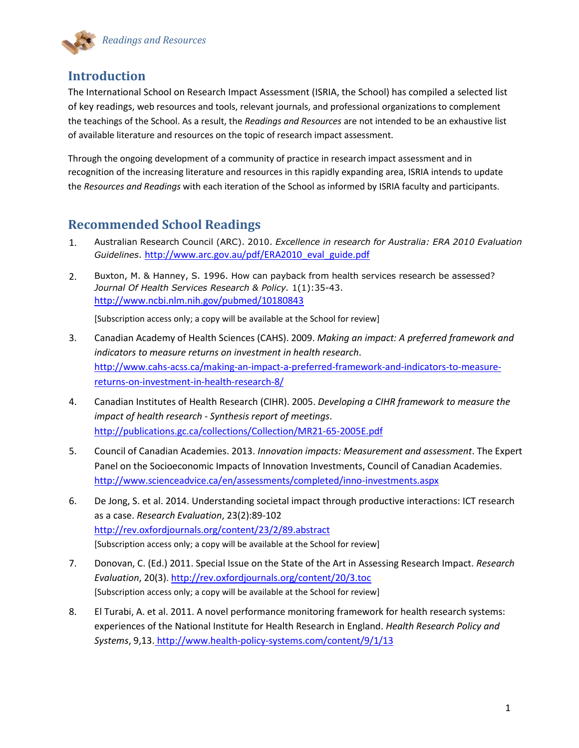

#### <span id="page-4-0"></span>**Introduction**

The International School on Research Impact Assessment (ISRIA, the School) has compiled a selected list of key readings, web resources and tools, relevant journals, and professional organizations to complement the teachings of the School. As a result, the *Readings and Resources* are not intended to be an exhaustive list of available literature and resources on the topic of research impact assessment.

Through the ongoing development of a community of practice in research impact assessment and in recognition of the increasing literature and resources in this rapidly expanding area, ISRIA intends to update the *Resources and Readings* with each iteration of the School as informed by ISRIA faculty and participants.

#### <span id="page-4-1"></span>**Recommended School Readings**

- 1. Australian Research Council (ARC). 2010. *Excellence in research for Australia: ERA 2010 Evaluation Guidelines*. [http://www.arc.gov.au/pdf/ERA2010\\_eval\\_guide.pdf](http://www.arc.gov.au/pdf/ERA2010_eval_guide.pdf)
- 2. Buxton, M. & Hanney, S. 1996. How can payback from health services research be assessed? *Journal Of Health Services Research & Policy.* 1(1):35-43. <http://www.ncbi.nlm.nih.gov/pubmed/10180843>

[Subscription access only; a copy will be available at the School for review]

- 3. Canadian Academy of Health Sciences (CAHS). 2009. *Making an impact: A preferred framework and indicators to measure returns on investment in health research*. [http://www.cahs-acss.ca/making-an-impact-a-preferred-framework-and-indicators-to-measure](http://www.cahs-acss.ca/making-an-impact-a-preferred-framework-and-indicators-to-measure-returns-on-investment-in-health-research-8/)[returns-on-investment-in-health-research-8/](http://www.cahs-acss.ca/making-an-impact-a-preferred-framework-and-indicators-to-measure-returns-on-investment-in-health-research-8/)
- 4. Canadian Institutes of Health Research (CIHR). 2005. *[Developing a CIHR framework to measure the](http://www.cihr-irsc.gc.ca/e/documents/meeting_synthesis_e.pdf)  [impact of health research -](http://www.cihr-irsc.gc.ca/e/documents/meeting_synthesis_e.pdf) Synthesis report of meetings*. <http://publications.gc.ca/collections/Collection/MR21-65-2005E.pdf>
- 5. Council of Canadian Academies. 2013. *Innovation impacts: Measurement and assessment*. The Expert Panel on the Socioeconomic Impacts of Innovation Investments, Council of Canadian Academies. <http://www.scienceadvice.ca/en/assessments/completed/inno-investments.aspx>
- 6. De Jong, S. et al. 2014. Understanding societal impact through productive interactions: ICT research as a case. *Research Evaluation*, 23(2):89-102 <http://rev.oxfordjournals.org/content/23/2/89.abstract> [Subscription access only; a copy will be available at the School for review]
- 7. Donovan, C. (Ed.) 2011. Special Issue on the State of the Art in Assessing Research Impact. *Research Evaluation*, 20(3). <http://rev.oxfordjournals.org/content/20/3.toc> [Subscription access only; a copy will be available at the School for review]
- 8. El Turabi, A. et al. 2011. A novel performance monitoring framework for health research systems: experiences of the National Institute for Health Research in England. *Health Research Policy and Systems*, 9,13. <http://www.health-policy-systems.com/content/9/1/13>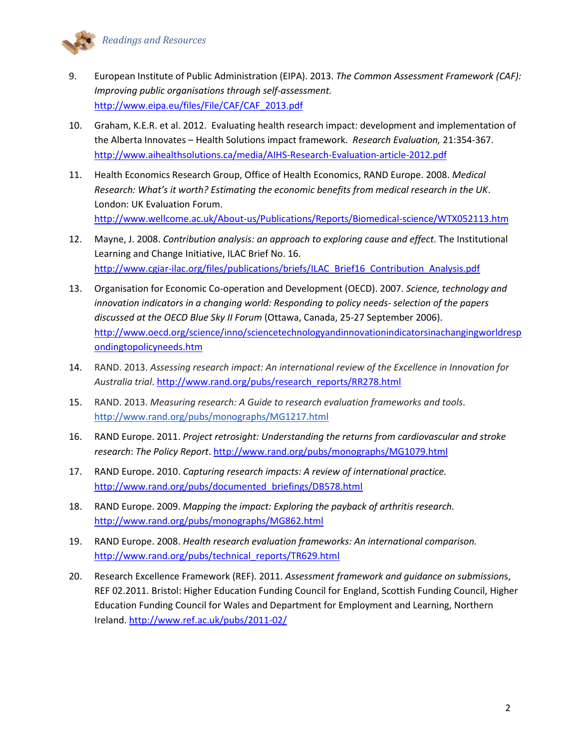- 9. European Institute of Public Administration (EIPA). 2013. *The Common Assessment Framework (CAF): Improving public organisations through self-assessment.* [http://www.eipa.eu/files/File/CAF/CAF\\_2013.pdf](http://www.eipa.eu/files/File/CAF/CAF_2013.pdf)
- 10. Graham, K.E.R. et al. 2012. Evaluating health research impact: development and implementation of the Alberta Innovates – Health Solutions impact framework. *Research Evaluation,* 21:354-367. <http://www.aihealthsolutions.ca/media/AIHS-Research-Evaluation-article-2012.pdf>
- 11. Health Economics Research Group, Office of Health Economics, RAND Europe. 2008. *Medical Research: What's it worth? Estimating the economic benefits from medical research in the UK*. London: UK Evaluation Forum. <http://www.wellcome.ac.uk/About-us/Publications/Reports/Biomedical-science/WTX052113.htm>

12. Mayne, J. 2008. *Contribution analysis: an approach to exploring cause and effect*. The Institutional Learning and Change Initiative, ILAC Brief No. 16.

[http://www.cgiar-ilac.org/files/publications/briefs/ILAC\\_Brief16\\_Contribution\\_Analysis.pdf](http://www.cgiar-ilac.org/files/publications/briefs/ILAC_Brief16_Contribution_Analysis.pdf)

- 13. Organisation for Economic Co-operation and Development (OECD). 2007*. Science, technology and innovation indicators in a changing world: Responding to policy needs- selection of the papers discussed at the OECD Blue Sky II Forum* (Ottawa, Canada, 25-27 September 2006). [http://www.oecd.org/science/inno/sciencetechnologyandinnovationindicatorsinachangingworldresp](http://www.oecd.org/science/inno/sciencetechnologyandinnovationindicatorsinachangingworldrespondingtopolicyneeds.htm) [ondingtopolicyneeds.htm](http://www.oecd.org/science/inno/sciencetechnologyandinnovationindicatorsinachangingworldrespondingtopolicyneeds.htm)
- 14. RAND. 2013. *Assessing research impact: An international review of the Excellence in Innovation for Australia trial*. [http://www.rand.org/pubs/research\\_reports/RR278.html](http://www.rand.org/pubs/research_reports/RR278.html)
- 15. RAND. 2013. *Measuring research: A Guide to research evaluation frameworks and tools*. [http://www.rand.org/pubs/monographs/MG1217.html](http://echo4.bluehornet.com/ct/21672944:23273763429:m:1:2273324198:061550BA12A9BB1C9AC00F1C2815D5F6:r)
- 16. RAND Europe. 2011. *Project retrosight: Understanding the returns from cardiovascular and stroke research*: *The Policy Report*. <http://www.rand.org/pubs/monographs/MG1079.html>
- 17. RAND Europe. 2010. *[Capturing research impacts: A review of international practice.](http://www.rand.org/pubs/documented_briefings/DB578.html)* [http://www.rand.org/pubs/documented\\_briefings/DB578.html](http://www.rand.org/pubs/documented_briefings/DB578.html)
- 18. RAND Europe. 2009. *[Mapping the impact: Exploring the payback of arthritis research.](http://www.rand.org/pubs/monographs/MG862.html)* <http://www.rand.org/pubs/monographs/MG862.html>
- 19. RAND Europe. 2008. *Health [research evaluation frameworks:](http://www.rand.org/pubs/technical_reports/TR629.html) An international comparison.* [http://www.rand.org/pubs/technical\\_reports/TR629.html](http://www.rand.org/pubs/technical_reports/TR629.html)
- 20. Research Excellence Framework (REF). 2011. *Assessment framework and guidance on submission*s, REF 02.2011. Bristol: Higher Education Funding Council for England, Scottish Funding Council, Higher Education Funding Council for Wales and Department for Employment and Learning, Northern Ireland. <http://www.ref.ac.uk/pubs/2011-02/>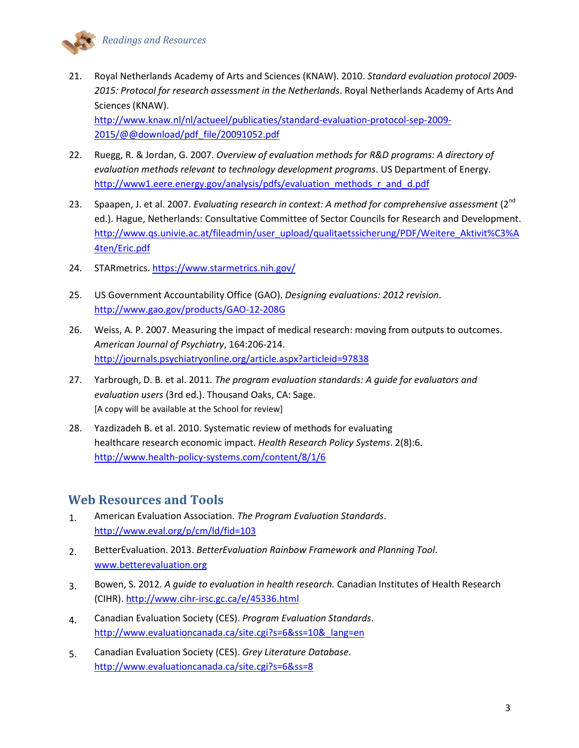

21. Royal Netherlands Academy of Arts and Sciences (KNAW). 2010. *Standard evaluation protocol 2009- 2015: Protocol for research assessment in the Netherlands*. Royal Netherlands Academy of Arts And Sciences (KNAW). [http://www.knaw.nl/nl/actueel/publicaties/standard-evaluation-protocol-sep-2009-](http://www.knaw.nl/nl/actueel/publicaties/standard-evaluation-protocol-sep-2009-2015/@@download/pdf_file/20091052.pdf)

[2015/@@download/pdf\\_file/20091052.pdf](http://www.knaw.nl/nl/actueel/publicaties/standard-evaluation-protocol-sep-2009-2015/@@download/pdf_file/20091052.pdf)

- 22. Ruegg, R. & Jordan, G. 2007. *Overview of evaluation methods for R&D programs: A directory of evaluation methods relevant to technology development programs*. US Department of Energy. [http://www1.eere.energy.gov/analysis/pdfs/evaluation\\_methods\\_r\\_and\\_d.pdf](http://www1.eere.energy.gov/analysis/pdfs/evaluation_methods_r_and_d.pdf)
- 23. Spaapen, J. et al. 2007. *Evaluating research in context: A method for comprehensive assessment* (2<sup>nd</sup>) ed.). Hague, Netherlands: Consultative Committee of Sector Councils for Research and Development. [http://www.qs.univie.ac.at/fileadmin/user\\_upload/qualitaetssicherung/PDF/Weitere\\_Aktivit%C3%A](http://www.qs.univie.ac.at/fileadmin/user_upload/qualitaetssicherung/PDF/Weitere_Aktivit%C3%A4ten/Eric.pdf) [4ten/Eric.pdf](http://www.qs.univie.ac.at/fileadmin/user_upload/qualitaetssicherung/PDF/Weitere_Aktivit%C3%A4ten/Eric.pdf)
- 24. STARmetrics. <https://www.starmetrics.nih.gov/>
- 25. US Government Accountability Office (GAO). *[Designing evaluations: 2012 revision](http://www.gao.gov/products/GAO-12-208G)*. <http://www.gao.gov/products/GAO-12-208G>
- 26. Weiss, A. P. 2007. Measuring the impact of medical research: moving from outputs to outcomes. *American Journal of Psychiatry*, 164:206-214. <http://journals.psychiatryonline.org/article.aspx?articleid=97838>
- 27. Yarbrough, D. B. et al. 2011*. The program evaluation standards: A guide for evaluators and evaluation users* (3rd ed.). Thousand Oaks, CA: Sage. [A copy will be available at the School for review]
- 28. Yazdizadeh B. et al. 2010. [Systematic review of methods for evaluating](http://www.health-policy-systems.com/content/8/6)  [healthcare](http://www.health-policy-systems.com/content/8/6) research economic impact. *Health Research Policy Systems*. 2(8):6. <http://www.health-policy-systems.com/content/8/1/6>

#### <span id="page-6-0"></span>**Web Resources and Tools**

- 1. American Evaluation Association. *The Program Evaluation Standards*. <http://www.eval.org/p/cm/ld/fid=103>
- 2. BetterEvaluation. 2013. *BetterEvaluation Rainbow Framework and Planning Tool*. [www.betterevaluation.org](http://www.betterevaluation.org/)
- 3. Bowen, S. 2012. *A guide to evaluation in health research.* Canadian Institutes of Health Research (CIHR). http://www.cihr-irsc.gc.ca/e/45336.html
- 4. Canadian Evaluation Society (CES). *Program Evaluation Standards*. [http://www.evaluationcanada.ca/site.cgi?s=6&ss=10&\\_lang=en](http://www.evaluationcanada.ca/site.cgi?s=6&ss=10&_lang=en)
- 5. Canadian Evaluation Society (CES). *Grey Literature Database*. <http://www.evaluationcanada.ca/site.cgi?s=6&ss=8>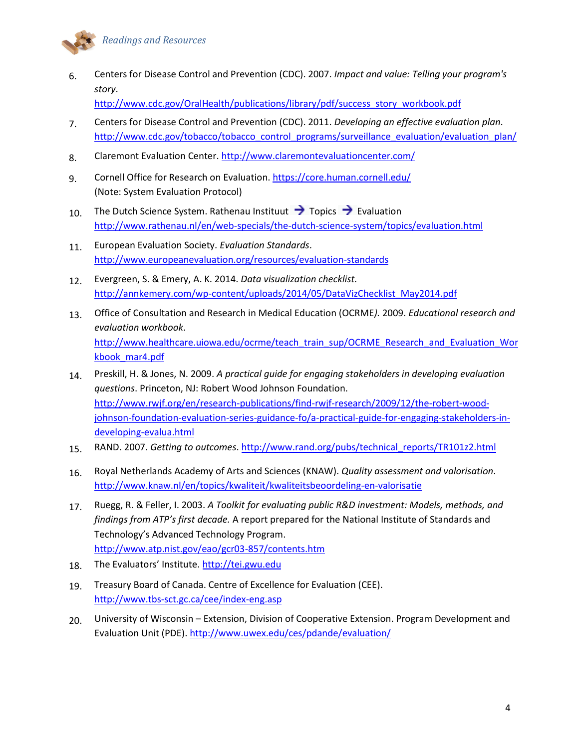

6. Centers for Disease Control and Prevention (CDC). 2007. *Impact and value: [Telling your program's](http://www.cdc.gov/oralhealth/publications/library/pdf/success_story_workbook.pdf)  [story](http://www.cdc.gov/oralhealth/publications/library/pdf/success_story_workbook.pdf)*.

[http://www.cdc.gov/OralHealth/publications/library/pdf/success\\_story\\_workbook.pdf](http://www.cdc.gov/OralHealth/publications/library/pdf/success_story_workbook.pdf)

- 7. Centers for Disease Control and Prevention (CDC). 2011. *Developing an effective evaluation plan*. [http://www.cdc.gov/tobacco/tobacco\\_control\\_programs/surveillance\\_evaluation/evaluation\\_plan/](http://www.cdc.gov/tobacco/tobacco_control_programs/surveillance_evaluation/evaluation_plan/)
- 8. Claremont Evaluation Center. <http://www.claremontevaluationcenter.com/>
- 9. Cornell Office for Research on Evaluation. https://core.human.cornell.edu/ (Note: System Evaluation Protocol)
- 10. The Dutch Science System. Rathenau Instituut  $\rightarrow$  Topics  $\rightarrow$  Evaluation <http://www.rathenau.nl/en/web-specials/the-dutch-science-system/topics/evaluation.html>
- 11. European Evaluation Society. *Evaluation Standards*. <http://www.europeanevaluation.org/resources/evaluation-standards>
- 12. Evergreen, S. & Emery, A. K. 2014. *Data visualization checklist.* [http://annkemery.com/wp-content/uploads/2014/05/DataVizChecklist\\_May2014.pdf](http://annkemery.com/wp-content/uploads/2014/05/DataVizChecklist_May2014.pdf)
- 13. Office of Consultation and Research in Medical Education (OCRME*).* 2009. *[Educational research and](http://www.healthcare.uiowa.edu/ocrme/teach_train_sup/OCRME_Research_and_Evaluation_Workbook_mar4.pdf)  [evaluation workbook](http://www.healthcare.uiowa.edu/ocrme/teach_train_sup/OCRME_Research_and_Evaluation_Workbook_mar4.pdf)*. [http://www.healthcare.uiowa.edu/ocrme/teach\\_train\\_sup/OCRME\\_Research\\_and\\_Evaluation\\_Wor](http://www.healthcare.uiowa.edu/ocrme/teach_train_sup/OCRME_Research_and_Evaluation_Workbook_mar4.pdf) [kbook\\_mar4.pdf](http://www.healthcare.uiowa.edu/ocrme/teach_train_sup/OCRME_Research_and_Evaluation_Workbook_mar4.pdf)
- 14. Preskill, H. & Jones, N. 2009. *A practical guide for engaging stakeholders in developing evaluation questions*. Princeton, NJ: Robert Wood Johnson Foundation. [http://www.rwjf.org/en/research-publications/find-rwjf-research/2009/12/the-robert-wood](http://www.rwjf.org/en/research-publications/find-rwjf-research/2009/12/the-robert-wood-johnson-foundation-evaluation-series-guidance-fo/a-practical-guide-for-engaging-stakeholders-in-developing-evalua.html)[johnson-foundation-evaluation-series-guidance-fo/a-practical-guide-for-engaging-stakeholders-in](http://www.rwjf.org/en/research-publications/find-rwjf-research/2009/12/the-robert-wood-johnson-foundation-evaluation-series-guidance-fo/a-practical-guide-for-engaging-stakeholders-in-developing-evalua.html)[developing-evalua.html](http://www.rwjf.org/en/research-publications/find-rwjf-research/2009/12/the-robert-wood-johnson-foundation-evaluation-series-guidance-fo/a-practical-guide-for-engaging-stakeholders-in-developing-evalua.html)
- 15. RAND. 2007. *Getting to outcomes*. [http://www.rand.org/pubs/technical\\_reports/TR101z2.html](http://www.rand.org/pubs/technical_reports/TR101z2.html)
- 16. Royal Netherlands Academy of Arts and Sciences (KNAW). *Quality assessment and valorisation*. <http://www.knaw.nl/en/topics/kwaliteit/kwaliteitsbeoordeling-en-valorisatie>
- 17. Ruegg, R. & Feller, I. 2003. *A Toolkit for evaluating public R&D investment: Models, methods, and findings from ATP's first decade.* A report prepared for the National Institute of Standards and Technology's Advanced Technology Program. <http://www.atp.nist.gov/eao/gcr03-857/contents.htm>
- 18. The Evaluators' Institute. [http://tei.gwu.edu](http://tei.gwu.edu/)
- 19. Treasury Board of Canada. Centre of Excellence for Evaluation (CEE). <http://www.tbs-sct.gc.ca/cee/index-eng.asp>
- 20. University of Wisconsin Extension, Division of Cooperative Extension. Program Development and Evaluation Unit (PDE). <http://www.uwex.edu/ces/pdande/evaluation/>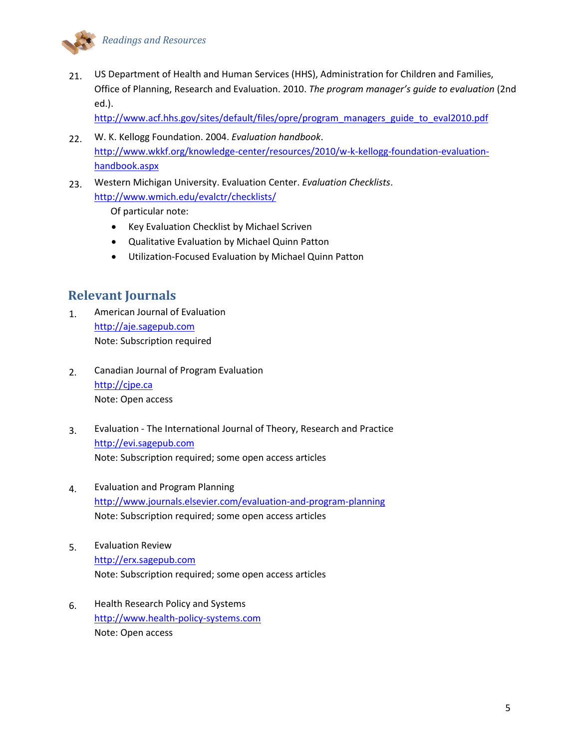

21. US Department of Health and Human Services (HHS), Administration for Children and Families, Office of Planning, Research and Evaluation. 2010. *The p[rogram manager's guide to e](http://www.acf.hhs.gov/sites/default/files/opre/program_managers_guide_to_eval2010.pdf)valuation* (2nd [ed.\).](http://www.acf.hhs.gov/sites/default/files/opre/program_managers_guide_to_eval2010.pdf)

[http://www.acf.hhs.gov/sites/default/files/opre/program\\_managers\\_guide\\_to\\_eval2010.pdf](http://www.acf.hhs.gov/sites/default/files/opre/program_managers_guide_to_eval2010.pdf)

- 22. W. K. Kellogg Foundation. 2004. *[Evaluation handbook](http://www.wkkf.org/knowledge-center/resources/2010/w-k-kellogg-foundation-evaluation-handbook.aspx)*. [http://www.wkkf.org/knowledge-center/resources/2010/w-k-kellogg-foundation-evaluation](http://www.wkkf.org/knowledge-center/resources/2010/w-k-kellogg-foundation-evaluation-handbook.aspx)[handbook.aspx](http://www.wkkf.org/knowledge-center/resources/2010/w-k-kellogg-foundation-evaluation-handbook.aspx)
- 23. Western Michigan University. Evaluation Center. *Evaluation Checklists*. <http://www.wmich.edu/evalctr/checklists/>

Of particular note:

- [Key Evaluation Checklist](http://www.wmich.edu/evalctr/archive_checklists/kec_feb07.pdf) by Michael Scriven
- [Qualitative Evaluation](http://www.wmich.edu/evalctr/archive_checklists/qec.pdf) by Michael Quinn Patton
- [Utilization-Focused Evaluation](http://www.wmich.edu/evalctr/wp-content/uploads/2013/03/UFE_checklist_2013.pdf) by Michael Quinn Patton

#### <span id="page-8-0"></span>**Relevant Journals**

- 1. American Journal of Evaluation [http://aje.sagepub.com](http://aje.sagepub.com/) Note: Subscription required
- 2. Canadian Journal of Program Evaluation [http://cjpe.ca](http://cjpe.ca/) Note: Open access
- 3. Evaluation The International Journal of Theory, Research and Practice [http://evi.sagepub.com](http://evi.sagepub.com/) Note: Subscription required; some open access articles
- 4. Evaluation and Program Planning [http://www.journals.elsevier.com/evaluation-and-program-planning](http://www.journals.elsevier.com/evaluation-and-program-planning/) Note: Subscription required; some open access articles
- 5. Evaluation Review [http://erx.sagepub.com](http://erx.sagepub.com/) Note: Subscription required; some open access articles
- 6. Health Research Policy and Systems [http://www.health-policy-systems.com](http://www.health-policy-systems.com/) Note: Open access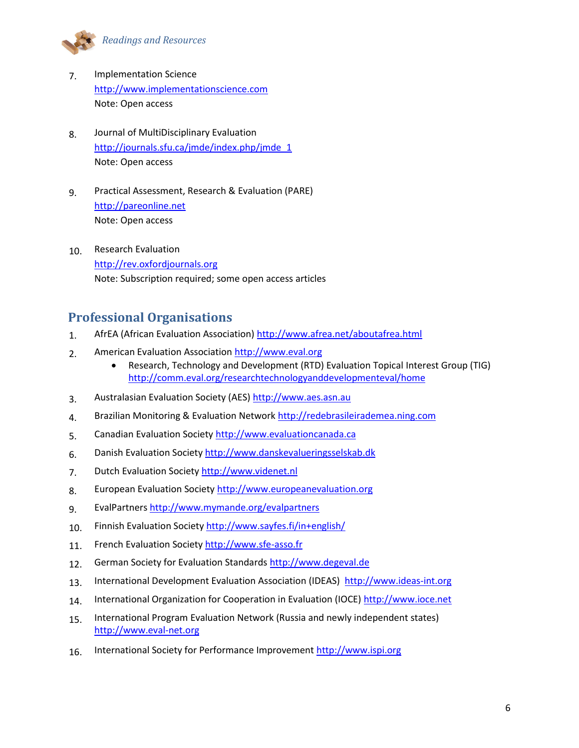

- 7. Implementation Science [http://www.implementationscience.com](http://www.implementationscience.com/) Note: Open access
- 8. Journal of MultiDisciplinary Evaluation [http://journals.sfu.ca/jmde/index.php/jmde\\_1](http://journals.sfu.ca/jmde/index.php/jmde_1) Note: Open access
- 9. Practical Assessment, Research & Evaluation (PARE) [http://pareonline.net](http://pareonline.net/) Note: Open access
- 10. Research Evaluation [http://rev.oxfordjournals.org](http://rev.oxfordjournals.org/) Note: Subscription required; some open access articles

#### <span id="page-9-0"></span>**Professional Organisations**

- 1. AfrEA (African Evaluation Association) <http://www.afrea.net/aboutafrea.html>
- 2. American Evaluation Association [http://www.eval.org](http://www.eval.org/p/cm/ld/fid=103)
	- Research, Technology and Development (RTD) Evaluation Topical Interest Group (TIG) <http://comm.eval.org/researchtechnologyanddevelopmenteval/home>
- 3. Australasian Evaluation Society (AES) [http://www.aes.asn.au](http://www.aes.asn.au/)
- 4. Brazilian Monitoring & Evaluation Network [http://redebrasileirademea.ning.com](http://redebrasileirademea.ning.com/)
- 5. Canadian Evaluation Society [http://www.evaluationcanada.ca](http://www.evaluationcanada.ca/)
- 6. Danish Evaluation Society [http://www.danskevalueringsselskab.dk](http://www.danskevalueringsselskab.dk/)
- 7. Dutch Evaluation Society [http://www.videnet.nl](http://www.videnet.nl/)
- 8. European Evaluation Societ[y http://www.europeanevaluation.org](http://www.europeanevaluation.org/)
- 9. EvalPartner[s http://www.mymande.org/evalpartners](http://www.mymande.org/evalpartners)
- 10. Finnish Evaluation Society<http://www.sayfes.fi/in+english/>
- 11. French Evaluation Society http://www.sfe-asso.fr
- 12. German Society for Evaluation Standards [http://www.degeval.de](http://www.degeval.de/)
- 13. International Development Evaluation Association (IDEAS) [http://www.ideas-int.org](http://www.ideas-int.org/)
- 14. International Organization for Cooperation in Evaluation (IOCE[\) http://www.ioce.net](http://www.ioce.net/)
- 15. International Program Evaluation Network (Russia and newly independent states) [http://www.eval-net.org](http://www.eval-net.org/)
- 16. [International Society for Performance Improvement](http://www.ispi.org/) [http://www.ispi.org](http://www.ispi.org/)